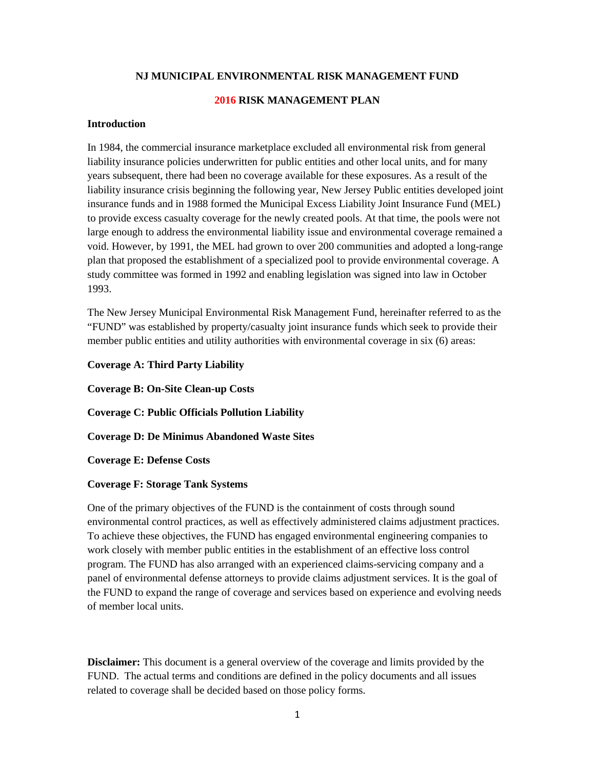### **NJ MUNICIPAL ENVIRONMENTAL RISK MANAGEMENT FUND**

### **2016 RISK MANAGEMENT PLAN**

# **Introduction**

In 1984, the commercial insurance marketplace excluded all environmental risk from general liability insurance policies underwritten for public entities and other local units, and for many years subsequent, there had been no coverage available for these exposures. As a result of the liability insurance crisis beginning the following year, New Jersey Public entities developed joint insurance funds and in 1988 formed the Municipal Excess Liability Joint Insurance Fund (MEL) to provide excess casualty coverage for the newly created pools. At that time, the pools were not large enough to address the environmental liability issue and environmental coverage remained a void. However, by 1991, the MEL had grown to over 200 communities and adopted a long-range plan that proposed the establishment of a specialized pool to provide environmental coverage. A study committee was formed in 1992 and enabling legislation was signed into law in October 1993.

The New Jersey Municipal Environmental Risk Management Fund, hereinafter referred to as the "FUND" was established by property/casualty joint insurance funds which seek to provide their member public entities and utility authorities with environmental coverage in six (6) areas:

#### **Coverage A: Third Party Liability**

**Coverage B: On-Site Clean-up Costs**

**Coverage C: Public Officials Pollution Liability** 

**Coverage D: De Minimus Abandoned Waste Sites**

**Coverage E: Defense Costs**

#### **Coverage F: Storage Tank Systems**

One of the primary objectives of the FUND is the containment of costs through sound environmental control practices, as well as effectively administered claims adjustment practices. To achieve these objectives, the FUND has engaged environmental engineering companies to work closely with member public entities in the establishment of an effective loss control program. The FUND has also arranged with an experienced claims-servicing company and a panel of environmental defense attorneys to provide claims adjustment services. It is the goal of the FUND to expand the range of coverage and services based on experience and evolving needs of member local units.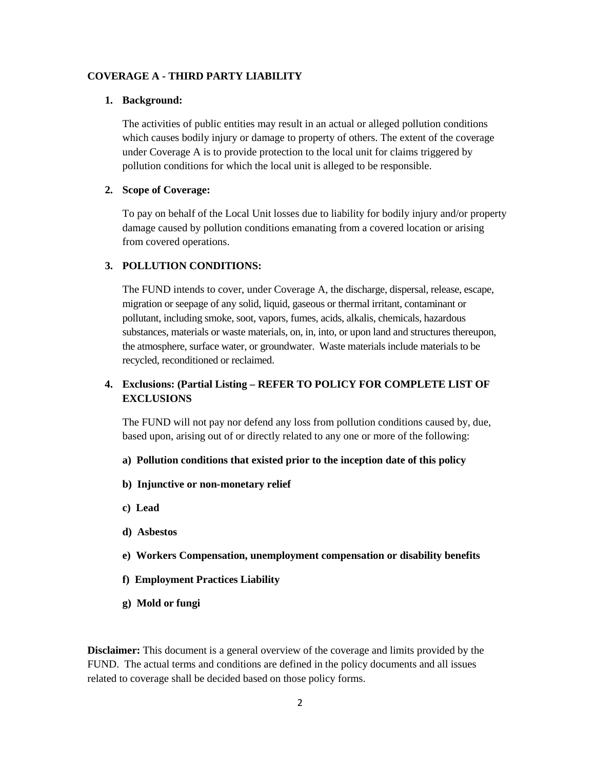#### **COVERAGE A - THIRD PARTY LIABILITY**

### **1. Background:**

The activities of public entities may result in an actual or alleged pollution conditions which causes bodily injury or damage to property of others. The extent of the coverage under Coverage A is to provide protection to the local unit for claims triggered by pollution conditions for which the local unit is alleged to be responsible.

### **2. Scope of Coverage:**

To pay on behalf of the Local Unit losses due to liability for bodily injury and/or property damage caused by pollution conditions emanating from a covered location or arising from covered operations.

#### **3. POLLUTION CONDITIONS:**

The FUND intends to cover, under Coverage A, the discharge, dispersal, release, escape, migration or seepage of any solid, liquid, gaseous or thermal irritant, contaminant or pollutant, including smoke, soot, vapors, fumes, acids, alkalis, chemicals, hazardous substances, materials or waste materials, on, in, into, or upon land and structures thereupon, the atmosphere, surface water, or groundwater. Waste materials include materials to be recycled, reconditioned or reclaimed.

# **4. Exclusions: (Partial Listing – REFER TO POLICY FOR COMPLETE LIST OF EXCLUSIONS**

The FUND will not pay nor defend any loss from pollution conditions caused by, due, based upon, arising out of or directly related to any one or more of the following:

- **a) Pollution conditions that existed prior to the inception date of this policy**
- **b) Injunctive or non-monetary relief**
- **c) Lead**
- **d) Asbestos**
- **e) Workers Compensation, unemployment compensation or disability benefits**
- **f) Employment Practices Liability**
- **g) Mold or fungi**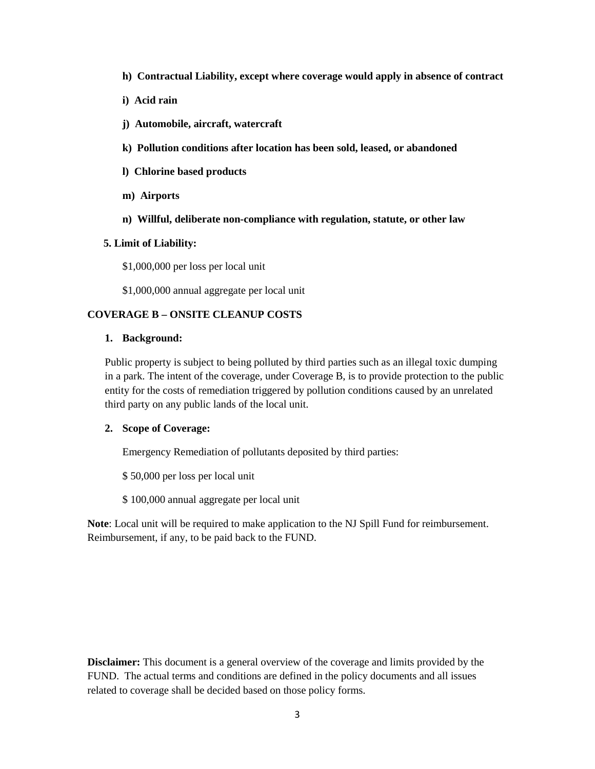- **h) Contractual Liability, except where coverage would apply in absence of contract**
- **i) Acid rain**
- **j) Automobile, aircraft, watercraft**
- **k) Pollution conditions after location has been sold, leased, or abandoned**
- **l) Chlorine based products**
- **m) Airports**
- **n) Willful, deliberate non-compliance with regulation, statute, or other law**

### **5. Limit of Liability:**

\$1,000,000 per loss per local unit

\$1,000,000 annual aggregate per local unit

# **COVERAGE B – ONSITE CLEANUP COSTS**

# **1. Background:**

Public property is subject to being polluted by third parties such as an illegal toxic dumping in a park. The intent of the coverage, under Coverage B, is to provide protection to the public entity for the costs of remediation triggered by pollution conditions caused by an unrelated third party on any public lands of the local unit.

# **2. Scope of Coverage:**

Emergency Remediation of pollutants deposited by third parties:

\$ 50,000 per loss per local unit

\$ 100,000 annual aggregate per local unit

**Note**: Local unit will be required to make application to the NJ Spill Fund for reimbursement. Reimbursement, if any, to be paid back to the FUND.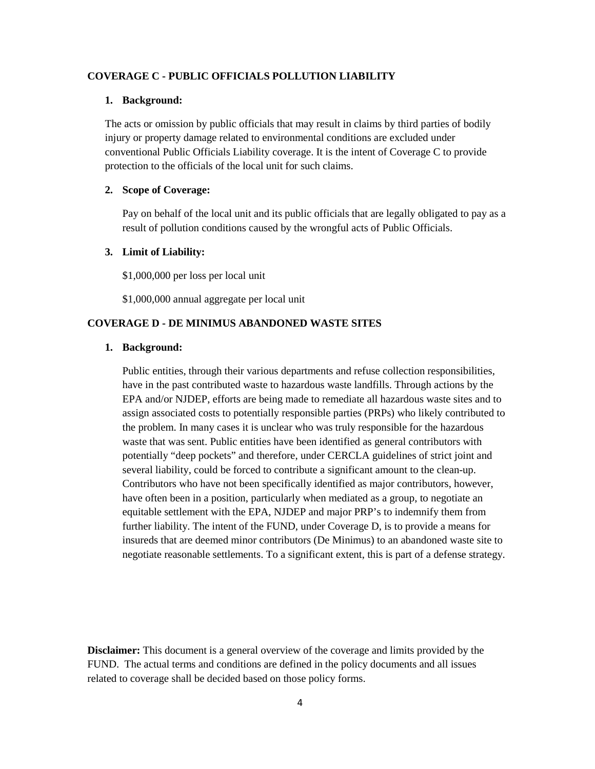#### **COVERAGE C - PUBLIC OFFICIALS POLLUTION LIABILITY**

#### **1. Background:**

The acts or omission by public officials that may result in claims by third parties of bodily injury or property damage related to environmental conditions are excluded under conventional Public Officials Liability coverage. It is the intent of Coverage C to provide protection to the officials of the local unit for such claims.

### **2. Scope of Coverage:**

Pay on behalf of the local unit and its public officials that are legally obligated to pay as a result of pollution conditions caused by the wrongful acts of Public Officials.

### **3. Limit of Liability:**

\$1,000,000 per loss per local unit

\$1,000,000 annual aggregate per local unit

#### **COVERAGE D - DE MINIMUS ABANDONED WASTE SITES**

#### **1. Background:**

Public entities, through their various departments and refuse collection responsibilities, have in the past contributed waste to hazardous waste landfills. Through actions by the EPA and/or NJDEP, efforts are being made to remediate all hazardous waste sites and to assign associated costs to potentially responsible parties (PRPs) who likely contributed to the problem. In many cases it is unclear who was truly responsible for the hazardous waste that was sent. Public entities have been identified as general contributors with potentially "deep pockets" and therefore, under CERCLA guidelines of strict joint and several liability, could be forced to contribute a significant amount to the clean-up. Contributors who have not been specifically identified as major contributors, however, have often been in a position, particularly when mediated as a group, to negotiate an equitable settlement with the EPA, NJDEP and major PRP's to indemnify them from further liability. The intent of the FUND, under Coverage D, is to provide a means for insureds that are deemed minor contributors (De Minimus) to an abandoned waste site to negotiate reasonable settlements. To a significant extent, this is part of a defense strategy.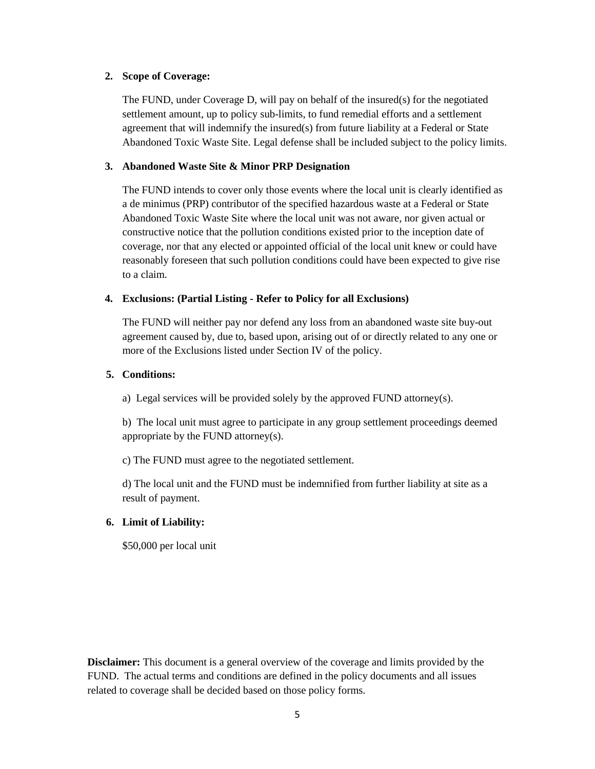# **2. Scope of Coverage:**

The FUND, under Coverage D, will pay on behalf of the insured(s) for the negotiated settlement amount, up to policy sub-limits, to fund remedial efforts and a settlement agreement that will indemnify the insured(s) from future liability at a Federal or State Abandoned Toxic Waste Site. Legal defense shall be included subject to the policy limits.

# **3. Abandoned Waste Site & Minor PRP Designation**

The FUND intends to cover only those events where the local unit is clearly identified as a de minimus (PRP) contributor of the specified hazardous waste at a Federal or State Abandoned Toxic Waste Site where the local unit was not aware, nor given actual or constructive notice that the pollution conditions existed prior to the inception date of coverage, nor that any elected or appointed official of the local unit knew or could have reasonably foreseen that such pollution conditions could have been expected to give rise to a claim.

# **4. Exclusions: (Partial Listing - Refer to Policy for all Exclusions)**

The FUND will neither pay nor defend any loss from an abandoned waste site buy-out agreement caused by, due to, based upon, arising out of or directly related to any one or more of the Exclusions listed under Section IV of the policy.

# **5. Conditions:**

a) Legal services will be provided solely by the approved FUND attorney(s).

b) The local unit must agree to participate in any group settlement proceedings deemed appropriate by the FUND attorney(s).

c) The FUND must agree to the negotiated settlement.

d) The local unit and the FUND must be indemnified from further liability at site as a result of payment.

# **6. Limit of Liability:**

\$50,000 per local unit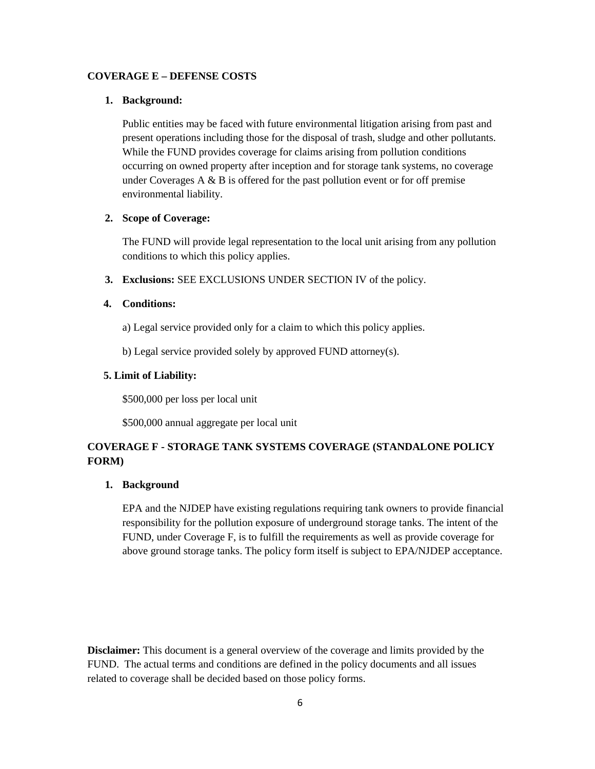# **COVERAGE E – DEFENSE COSTS**

#### **1. Background:**

Public entities may be faced with future environmental litigation arising from past and present operations including those for the disposal of trash, sludge and other pollutants. While the FUND provides coverage for claims arising from pollution conditions occurring on owned property after inception and for storage tank systems, no coverage under Coverages  $A \& B$  is offered for the past pollution event or for off premise environmental liability.

## **2. Scope of Coverage:**

The FUND will provide legal representation to the local unit arising from any pollution conditions to which this policy applies.

**3. Exclusions:** SEE EXCLUSIONS UNDER SECTION IV of the policy.

# **4. Conditions:**

- a) Legal service provided only for a claim to which this policy applies.
- b) Legal service provided solely by approved FUND attorney(s).

## **5. Limit of Liability:**

\$500,000 per loss per local unit

\$500,000 annual aggregate per local unit

# **COVERAGE F - STORAGE TANK SYSTEMS COVERAGE (STANDALONE POLICY FORM)**

### **1. Background**

EPA and the NJDEP have existing regulations requiring tank owners to provide financial responsibility for the pollution exposure of underground storage tanks. The intent of the FUND, under Coverage F, is to fulfill the requirements as well as provide coverage for above ground storage tanks. The policy form itself is subject to EPA/NJDEP acceptance.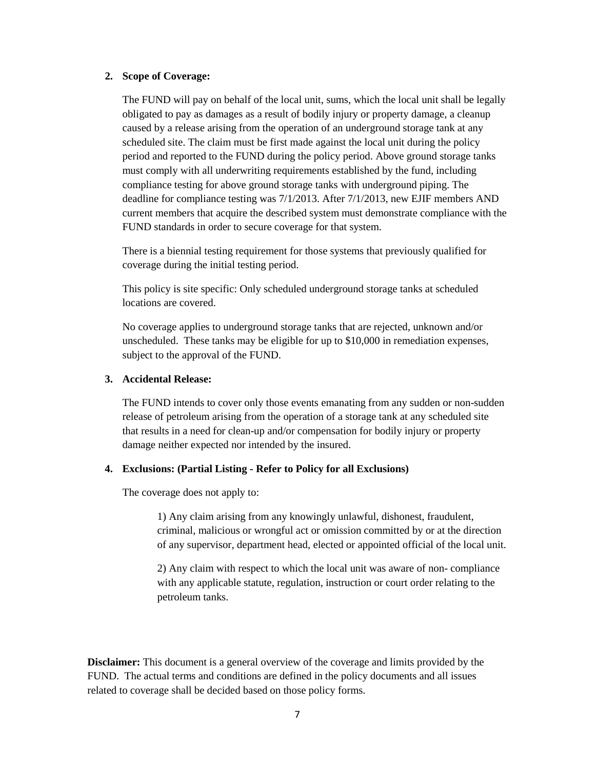### **2. Scope of Coverage:**

The FUND will pay on behalf of the local unit, sums, which the local unit shall be legally obligated to pay as damages as a result of bodily injury or property damage, a cleanup caused by a release arising from the operation of an underground storage tank at any scheduled site. The claim must be first made against the local unit during the policy period and reported to the FUND during the policy period. Above ground storage tanks must comply with all underwriting requirements established by the fund, including compliance testing for above ground storage tanks with underground piping. The deadline for compliance testing was 7/1/2013. After 7/1/2013, new EJIF members AND current members that acquire the described system must demonstrate compliance with the FUND standards in order to secure coverage for that system.

There is a biennial testing requirement for those systems that previously qualified for coverage during the initial testing period.

This policy is site specific: Only scheduled underground storage tanks at scheduled locations are covered.

No coverage applies to underground storage tanks that are rejected, unknown and/or unscheduled. These tanks may be eligible for up to \$10,000 in remediation expenses, subject to the approval of the FUND.

# **3. Accidental Release:**

The FUND intends to cover only those events emanating from any sudden or non-sudden release of petroleum arising from the operation of a storage tank at any scheduled site that results in a need for clean-up and/or compensation for bodily injury or property damage neither expected nor intended by the insured.

#### **4. Exclusions: (Partial Listing - Refer to Policy for all Exclusions)**

The coverage does not apply to:

1) Any claim arising from any knowingly unlawful, dishonest, fraudulent, criminal, malicious or wrongful act or omission committed by or at the direction of any supervisor, department head, elected or appointed official of the local unit.

2) Any claim with respect to which the local unit was aware of non- compliance with any applicable statute, regulation, instruction or court order relating to the petroleum tanks.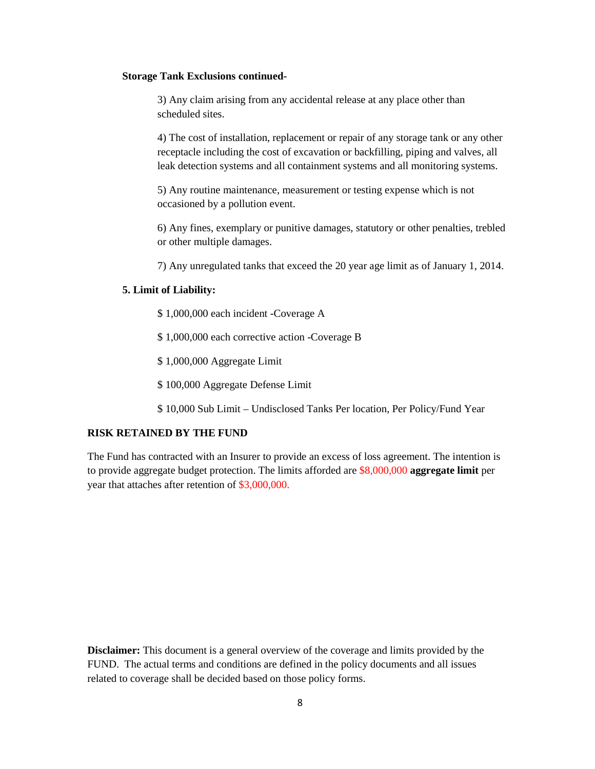### **Storage Tank Exclusions continued-**

3) Any claim arising from any accidental release at any place other than scheduled sites.

4) The cost of installation, replacement or repair of any storage tank or any other receptacle including the cost of excavation or backfilling, piping and valves, all leak detection systems and all containment systems and all monitoring systems.

5) Any routine maintenance, measurement or testing expense which is not occasioned by a pollution event.

6) Any fines, exemplary or punitive damages, statutory or other penalties, trebled or other multiple damages.

7) Any unregulated tanks that exceed the 20 year age limit as of January 1, 2014.

#### **5. Limit of Liability:**

- \$ 1,000,000 each incident -Coverage A
- \$ 1,000,000 each corrective action -Coverage B
- \$ 1,000,000 Aggregate Limit
- \$ 100,000 Aggregate Defense Limit
- \$ 10,000 Sub Limit Undisclosed Tanks Per location, Per Policy/Fund Year

# **RISK RETAINED BY THE FUND**

The Fund has contracted with an Insurer to provide an excess of loss agreement. The intention is to provide aggregate budget protection. The limits afforded are \$8,000,000 **aggregate limit** per year that attaches after retention of \$3,000,000.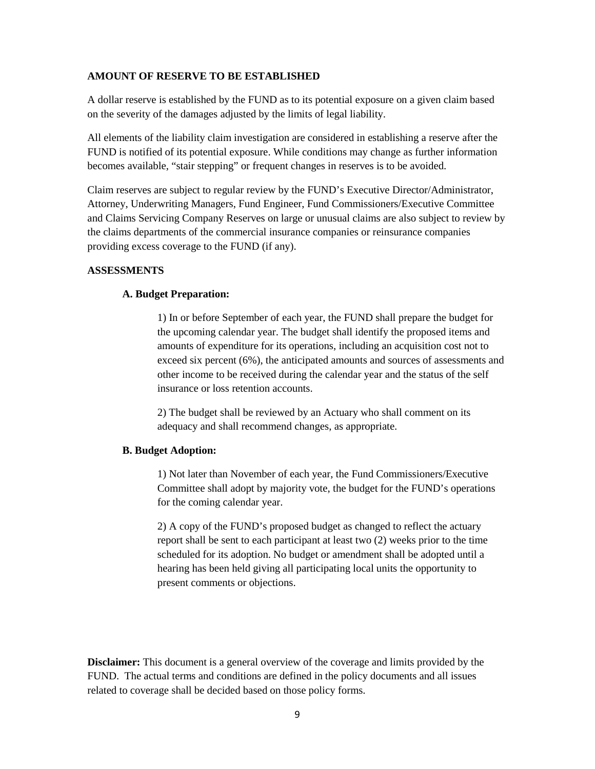### **AMOUNT OF RESERVE TO BE ESTABLISHED**

A dollar reserve is established by the FUND as to its potential exposure on a given claim based on the severity of the damages adjusted by the limits of legal liability.

All elements of the liability claim investigation are considered in establishing a reserve after the FUND is notified of its potential exposure. While conditions may change as further information becomes available, "stair stepping" or frequent changes in reserves is to be avoided.

Claim reserves are subject to regular review by the FUND's Executive Director/Administrator, Attorney, Underwriting Managers, Fund Engineer, Fund Commissioners/Executive Committee and Claims Servicing Company Reserves on large or unusual claims are also subject to review by the claims departments of the commercial insurance companies or reinsurance companies providing excess coverage to the FUND (if any).

### **ASSESSMENTS**

## **A. Budget Preparation:**

1) In or before September of each year, the FUND shall prepare the budget for the upcoming calendar year. The budget shall identify the proposed items and amounts of expenditure for its operations, including an acquisition cost not to exceed six percent (6%), the anticipated amounts and sources of assessments and other income to be received during the calendar year and the status of the self insurance or loss retention accounts.

2) The budget shall be reviewed by an Actuary who shall comment on its adequacy and shall recommend changes, as appropriate.

#### **B. Budget Adoption:**

1) Not later than November of each year, the Fund Commissioners/Executive Committee shall adopt by majority vote, the budget for the FUND's operations for the coming calendar year.

2) A copy of the FUND's proposed budget as changed to reflect the actuary report shall be sent to each participant at least two (2) weeks prior to the time scheduled for its adoption. No budget or amendment shall be adopted until a hearing has been held giving all participating local units the opportunity to present comments or objections.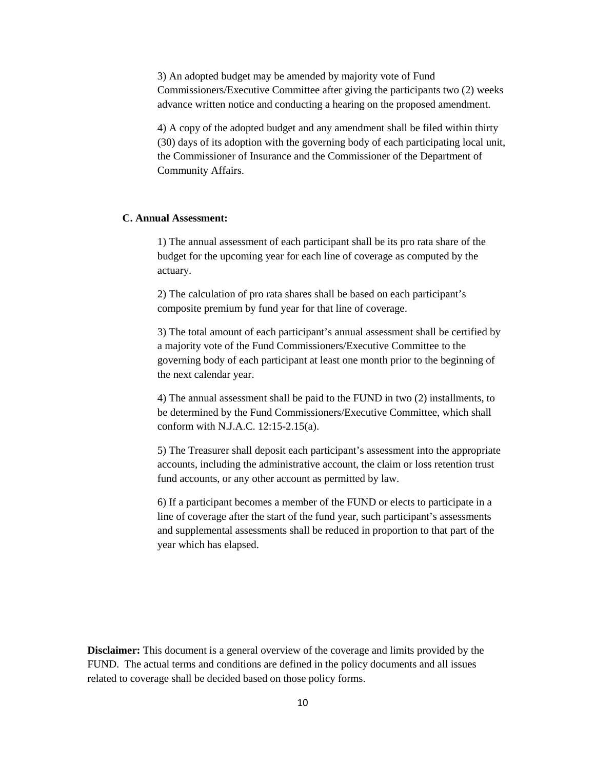3) An adopted budget may be amended by majority vote of Fund Commissioners/Executive Committee after giving the participants two (2) weeks advance written notice and conducting a hearing on the proposed amendment.

4) A copy of the adopted budget and any amendment shall be filed within thirty (30) days of its adoption with the governing body of each participating local unit, the Commissioner of Insurance and the Commissioner of the Department of Community Affairs.

# **C. Annual Assessment:**

1) The annual assessment of each participant shall be its pro rata share of the budget for the upcoming year for each line of coverage as computed by the actuary.

2) The calculation of pro rata shares shall be based on each participant's composite premium by fund year for that line of coverage.

3) The total amount of each participant's annual assessment shall be certified by a majority vote of the Fund Commissioners/Executive Committee to the governing body of each participant at least one month prior to the beginning of the next calendar year.

4) The annual assessment shall be paid to the FUND in two (2) installments, to be determined by the Fund Commissioners/Executive Committee, which shall conform with N.J.A.C. 12:15-2.15(a).

5) The Treasurer shall deposit each participant's assessment into the appropriate accounts, including the administrative account, the claim or loss retention trust fund accounts, or any other account as permitted by law.

6) If a participant becomes a member of the FUND or elects to participate in a line of coverage after the start of the fund year, such participant's assessments and supplemental assessments shall be reduced in proportion to that part of the year which has elapsed.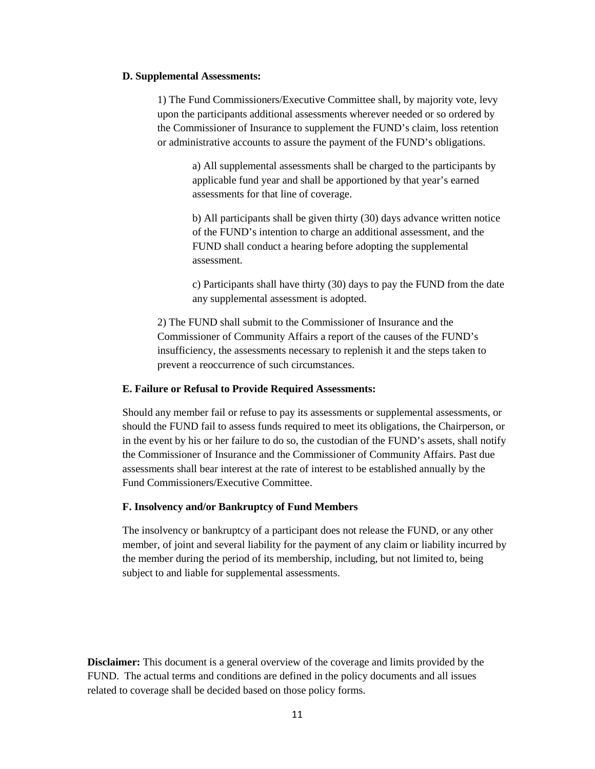#### **D. Supplemental Assessments:**

1) The Fund Commissioners/Executive Committee shall, by majority vote, levy upon the participants additional assessments wherever needed or so ordered by the Commissioner of Insurance to supplement the FUND's claim, loss retention or administrative accounts to assure the payment of the FUND's obligations.

> a) All supplemental assessments shall be charged to the participants by applicable fund year and shall be apportioned by that year's earned assessments for that line of coverage.

b) All participants shall be given thirty (30) days advance written notice of the FUND's intention to charge an additional assessment, and the FUND shall conduct a hearing before adopting the supplemental assessment.

c) Participants shall have thirty (30) days to pay the FUND from the date any supplemental assessment is adopted.

2) The FUND shall submit to the Commissioner of Insurance and the Commissioner of Community Affairs a report of the causes of the FUND's insufficiency, the assessments necessary to replenish it and the steps taken to prevent a reoccurrence of such circumstances.

### **E. Failure or Refusal to Provide Required Assessments:**

Should any member fail or refuse to pay its assessments or supplemental assessments, or should the FUND fail to assess funds required to meet its obligations, the Chairperson, or in the event by his or her failure to do so, the custodian of the FUND's assets, shall notify the Commissioner of Insurance and the Commissioner of Community Affairs. Past due assessments shall bear interest at the rate of interest to be established annually by the Fund Commissioners/Executive Committee.

### **F. Insolvency and/or Bankruptcy of Fund Members**

The insolvency or bankruptcy of a participant does not release the FUND, or any other member, of joint and several liability for the payment of any claim or liability incurred by the member during the period of its membership, including, but not limited to, being subject to and liable for supplemental assessments.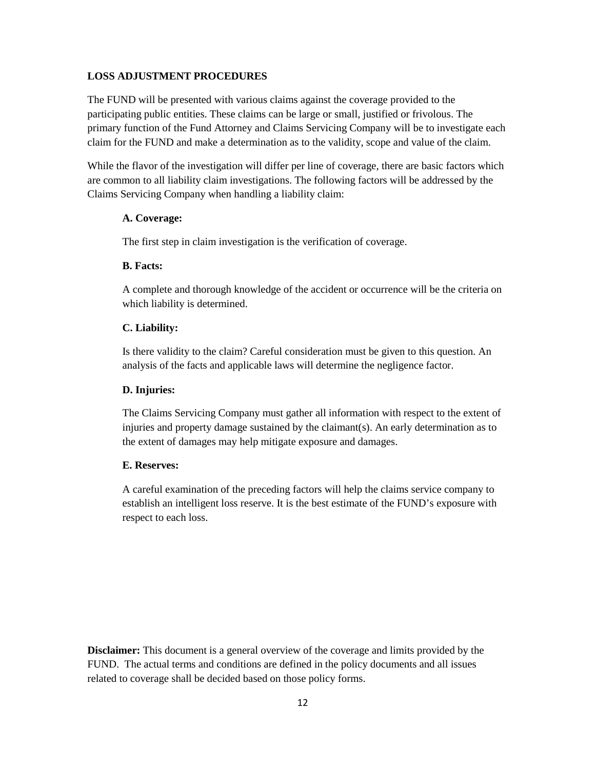### **LOSS ADJUSTMENT PROCEDURES**

The FUND will be presented with various claims against the coverage provided to the participating public entities. These claims can be large or small, justified or frivolous. The primary function of the Fund Attorney and Claims Servicing Company will be to investigate each claim for the FUND and make a determination as to the validity, scope and value of the claim.

While the flavor of the investigation will differ per line of coverage, there are basic factors which are common to all liability claim investigations. The following factors will be addressed by the Claims Servicing Company when handling a liability claim:

### **A. Coverage:**

The first step in claim investigation is the verification of coverage.

### **B. Facts:**

A complete and thorough knowledge of the accident or occurrence will be the criteria on which liability is determined.

### **C. Liability:**

Is there validity to the claim? Careful consideration must be given to this question. An analysis of the facts and applicable laws will determine the negligence factor.

#### **D. Injuries:**

The Claims Servicing Company must gather all information with respect to the extent of injuries and property damage sustained by the claimant(s). An early determination as to the extent of damages may help mitigate exposure and damages.

### **E. Reserves:**

A careful examination of the preceding factors will help the claims service company to establish an intelligent loss reserve. It is the best estimate of the FUND's exposure with respect to each loss.